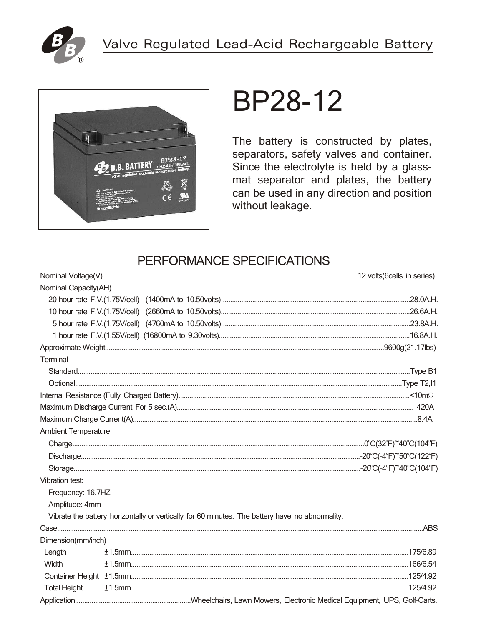



# **BP28-12**

The battery is constructed by plates, separators, safety valves and container. Since the electrolyte is held by a glassmat separator and plates, the battery can be used in any direction and position without leakage.

## PERFORMANCE SPECIFICATIONS

| Nominal Capacity(AH)       |  |                                                                                                 |  |
|----------------------------|--|-------------------------------------------------------------------------------------------------|--|
|                            |  |                                                                                                 |  |
|                            |  |                                                                                                 |  |
|                            |  |                                                                                                 |  |
|                            |  |                                                                                                 |  |
|                            |  |                                                                                                 |  |
| Terminal                   |  |                                                                                                 |  |
|                            |  |                                                                                                 |  |
|                            |  |                                                                                                 |  |
|                            |  |                                                                                                 |  |
|                            |  |                                                                                                 |  |
|                            |  |                                                                                                 |  |
| <b>Ambient Temperature</b> |  |                                                                                                 |  |
|                            |  |                                                                                                 |  |
|                            |  |                                                                                                 |  |
|                            |  |                                                                                                 |  |
| Vibration test:            |  |                                                                                                 |  |
| Frequency: 16.7HZ          |  |                                                                                                 |  |
| Amplitude: 4mm             |  |                                                                                                 |  |
|                            |  | Vibrate the battery horizontally or vertically for 60 minutes. The battery have no abnormality. |  |
|                            |  |                                                                                                 |  |
| Dimension(mm/inch)         |  |                                                                                                 |  |
| Length                     |  |                                                                                                 |  |
| Width                      |  |                                                                                                 |  |
|                            |  |                                                                                                 |  |
| <b>Total Height</b>        |  |                                                                                                 |  |
|                            |  |                                                                                                 |  |